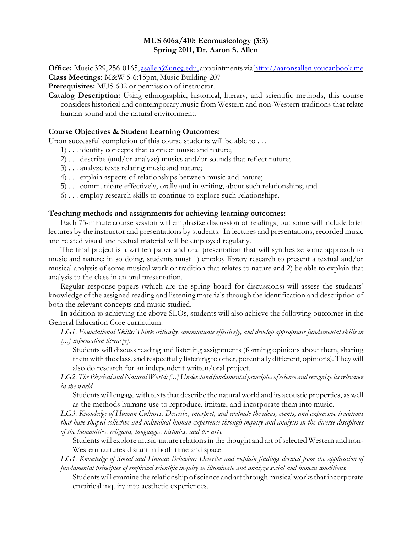## **MUS 606a/410: Ecomusicology (3:3) Spring 2011, Dr. Aaron S. Allen**

**Office:** Music 329, 256-0165, [asallen@uncg.edu,](mailto:asallen@uncg.edu,) appointments via [http://aaronsallen.youcanbook.me](http://aaronsallen.youcanbook.me/) **Class Meetings:** M&W 5-6:15pm, Music Building 207

**Prerequisites:** MUS 602 or permission of instructor.

**Catalog Description:** Using ethnographic, historical, literary, and scientific methods, this course considers historical and contemporary music from Western and non-Western traditions that relate human sound and the natural environment.

### **Course Objectives & Student Learning Outcomes:**

Upon successful completion of this course students will be able to . . .

- 1) . . . identify concepts that connect music and nature;
- 2) . . . describe (and/or analyze) musics and/or sounds that reflect nature;
- 3) . . . analyze texts relating music and nature;
- 4) . . . explain aspects of relationships between music and nature;
- 5) . . . communicate effectively, orally and in writing, about such relationships; and
- 6) . . . employ research skills to continue to explore such relationships.

#### **Teaching methods and assignments for achieving learning outcomes:**

Each 75-minute course session will emphasize discussion of readings, but some will include brief lectures by the instructor and presentations by students. In lectures and presentations, recorded music and related visual and textual material will be employed regularly.

The final project is a written paper and oral presentation that will synthesize some approach to music and nature; in so doing, students must 1) employ library research to present a textual and/or musical analysis of some musical work or tradition that relates to nature and 2) be able to explain that analysis to the class in an oral presentation.

Regular response papers (which are the spring board for discussions) will assess the students' knowledge of the assigned reading and listening materials through the identification and description of both the relevant concepts and music studied.

In addition to achieving the above SLOs, students will also achieve the following outcomes in the General Education Core curriculum:

*LG1. Foundational Skills: Think critically, communicate effectively, and develop appropriate fundamental skills in [...] information literac[y].* 

Students will discuss reading and listening assignments (forming opinions about them, sharing them with the class, and respectfully listening to other, potentially different, opinions). They will also do research for an independent written/oral project.

*LG2. The Physical and Natural World: [...] Understand fundamental principles of science and recognize its relevance in the world.*

Students will engage with texts that describe the natural world and its acoustic properties, as well as the methods humans use to reproduce, imitate, and incorporate them into music.

*LG3. Knowledge of Human Cultures: Describe, interpret, and evaluate the ideas, events, and expressive traditions that have shaped collective and individual human experience through inquiry and analysis in the diverse disciplines of the humanities, religions, languages, histories, and the arts.*

Students will explore music-nature relations in the thought and art of selected Western and non-Western cultures distant in both time and space.

*LG4. Knowledge of Social and Human Behavior: Describe and explain findings derived from the application of fundamental principles of empirical scientific inquiry to illuminate and analyze social and human conditions.* 

Students will examine the relationship of science and art through musical works that incorporate empirical inquiry into aesthetic experiences.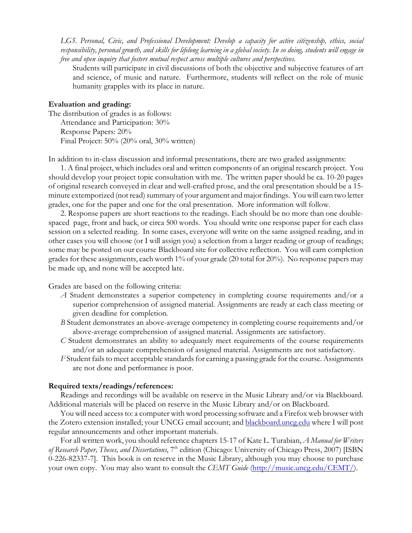*LG5. Personal, Civic, and Professional Development: Develop a capacity for active citizenship, ethics, social responsibility, personal growth, and skills for lifelong learning in a global society. In so doing, students will engage in free and open inquiry that fosters mutual respect across multiple cultures and perspectives.*

Students will participate in civil discussions of both the objective and subjective features of art and science, of music and nature. Furthermore, students will reflect on the role of music humanity grapples with its place in nature.

#### **Evaluation and grading:**

The distribution of grades is as follows: Attendance and Participation: 30% Response Papers: 20% Final Project: 50% (20% oral, 30% written)

In addition to in-class discussion and informal presentations, there are two graded assignments:

1. A final project, which includes oral and written components of an original research project. You should develop your project topic consultation with me. The written paper should be ca. 10-20 pages of original research conveyed in clear and well-crafted prose, and the oral presentation should be a 15 minute extemporized (not read) summary of your argument and major findings. You will earn two letter grades, one for the paper and one for the oral presentation. More information will follow.

2. Response papers are short reactions to the readings. Each should be no more than one doublespaced page, front and back, or circa 500 words. You should write one response paper for each class session on a selected reading. In some cases, everyone will write on the same assigned reading, and in other cases you will choose (or I will assign you) a selection from a larger reading or group of readings; some may be posted on our course Blackboard site for collective reflection. You will earn completion grades for these assignments, each worth 1% of your grade (20 total for 20%). No response papers may be made up, and none will be accepted late.

Grades are based on the following criteria:

- *A* Student demonstrates a superior competency in completing course requirements and/or a superior comprehension of assigned material. Assignments are ready at each class meeting or given deadline for completion.
- *B* Student demonstrates an above-average competency in completing course requirements and/or above-average comprehension of assigned material. Assignments are satisfactory.
- *C* Student demonstrates an ability to adequately meet requirements of the course requirements and/or an adequate comprehension of assigned material. Assignments are not satisfactory.
- *F* Student fails to meet acceptable standards for earning a passing grade for the course. Assignments are not done and performance is poor.

#### **Required texts/readings/references:**

Readings and recordings will be available on reserve in the Music Library and/or via Blackboard. Additional materials will be placed on reserve in the Music Library and/or on Blackboard.

You will need access to: a computer with word processing software and a Firefox web browser with the Zotero extension installed; your UNCG email account; and **blackboard.uncg.edu** where I will post regular announcements and other important materials.

For all written work, you should reference chapters 15-17 of Kate L. Turabian, *A Manual for Writers of Research Paper, Theses, and Dissertations*, 7th edition (Chicago: University of Chicago Press, 2007) [ISBN 0-226-82337-7]. This book is on reserve in the Music Library, although you may choose to purchase your own copy. You may also want to consult the *CEMT Guide* [\(http://music.uncg.edu/CEMT/](http://music.uncg.edu/CEMT/)).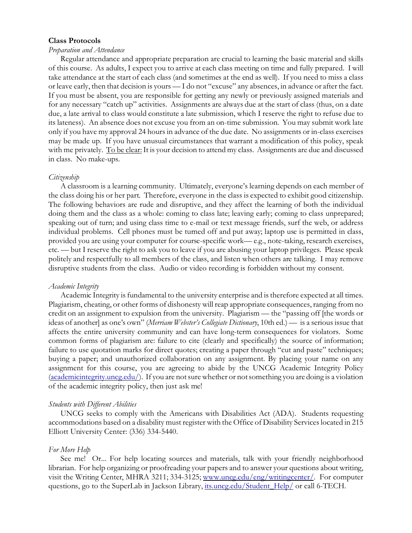#### **Class Protocols**

#### *Preparation and Attendance*

Regular attendance and appropriate preparation are crucial to learning the basic material and skills of this course. As adults, I expect you to arrive at each class meeting on time and fully prepared. I will take attendance at the start of each class (and sometimes at the end as well). If you need to miss a class or leave early, then that decision is yours — I do not "excuse" any absences, in advance or after the fact. If you must be absent, you are responsible for getting any newly or previously assigned materials and for any necessary "catch up" activities. Assignments are always due at the start of class (thus, on a date due, a late arrival to class would constitute a late submission, which I reserve the right to refuse due to its lateness). An absence does not excuse you from an on-time submission. You may submit work late only if you have my approval 24 hours in advance of the due date. No assignments or in-class exercises may be made up. If you have unusual circumstances that warrant a modification of this policy, speak with me privately. To be clear: It is your decision to attend my class. Assignments are due and discussed in class. No make-ups.

#### *Citizenship*

A classroom is a learning community. Ultimately, everyone's learning depends on each member of the class doing his or her part. Therefore, everyone in the class is expected to exhibit good citizenship. The following behaviors are rude and disruptive, and they affect the learning of both the individual doing them and the class as a whole: coming to class late; leaving early; coming to class unprepared; speaking out of turn; and using class time to e-mail or text message friends, surf the web, or address individual problems. Cell phones must be turned off and put away; laptop use is permitted in class, provided you are using your computer for course-specific work— e.g., note-taking, research exercises, etc. — but I reserve the right to ask you to leave if you are abusing your laptop privileges. Please speak politely and respectfully to all members of the class, and listen when others are talking. I may remove disruptive students from the class. Audio or video recording is forbidden without my consent.

#### *Academic Integrity*

Academic Integrity is fundamental to the university enterprise and is therefore expected at all times. Plagiarism, cheating, or other forms of dishonesty will reap appropriate consequences, ranging from no credit on an assignment to expulsion from the university. Plagiarism — the "passing off [the words or ideas of another] as one's own" (*Merriam Webster's Collegiate Dictionary*, 10th ed.) — is a serious issue that affects the entire university community and can have long-term consequences for violators. Some common forms of plagiarism are: failure to cite (clearly and specifically) the source of information; failure to use quotation marks for direct quotes; creating a paper through "cut and paste" techniques; buying a paper; and unauthorized collaboration on any assignment. By placing your name on any assignment for this course, you are agreeing to abide by the UNCG Academic Integrity Policy [\(academicintegrity.uncg.edu/](http://academicintegrity.uncg.edu/)). If you are not sure whether or not something you are doing is a violation of the academic integrity policy, then just ask me!

#### *Students with Different Abilities*

UNCG seeks to comply with the Americans with Disabilities Act (ADA). Students requesting accommodations based on a disability must register with the Office of Disability Services located in 215 Elliott University Center: (336) 334-5440.

#### *For More Help*

See me! Or... For help locating sources and materials, talk with your friendly neighborhood librarian. For help organizing or proofreading your papers and to answer your questions about writing, visit the Writing Center, MHRA 3211; 334-3125; [www.uncg.edu/eng/writingcenter/](http://www.uncg.edu/eng/writingcenter/). For computer questions, go to the SuperLab in Jackson Library, [its.uncg.edu/Student\\_Help/](http://its.uncg.edu/Student_Help/) or call 6-TECH.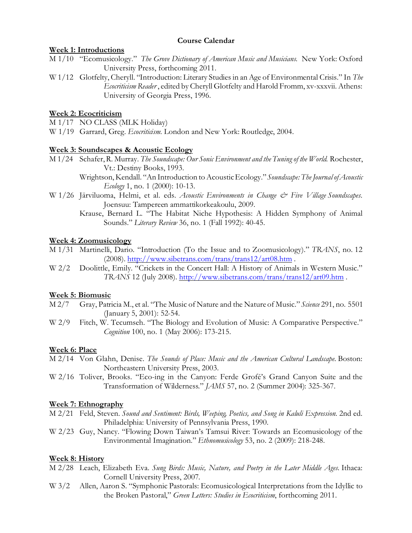## **Course Calendar**

## **Week 1: Introductions**

- M 1/10 "Ecomusicology." *The Grove Dictionary of American Music and Musicians*. New York: Oxford University Press, forthcoming 2011.
- W 1/12 Glotfelty, Cheryll. "Introduction: Literary Studies in an Age of Environmental Crisis." In *The Ecocriticism Reader* , edited by Cheryll Glotfelty and Harold Fromm, xv-xxxvii. Athens: University of Georgia Press, 1996.

# **Week 2: Ecocriticism**

- M 1/17 NO CLASS (MLK Holiday)
- W 1/19 Garrard, Greg. *Ecocriticism.* London and New York: Routledge, 2004.

### **Week 3: Soundscapes & Acoustic Ecology**

- M 1/24 Schafer, R. Murray. *The Soundscape: Our Sonic Environment and the Tuning of the World*. Rochester, Vt.: Destiny Books, 1993.
	- Wrightson, Kendall. "An Introduction to Acoustic Ecology."*Soundscape: The Journal of Acoustic Ecology* 1, no. 1 (2000): 10-13.
- W 1/26 Järviluoma, Helmi, et al. eds. *Acoustic Environments in Change & Five Village Soundscapes*. Joensuu: Tampereen ammattikorkeakoulu, 2009.
	- Krause, Bernard L. "The Habitat Niche Hypothesis: A Hidden Symphony of Animal Sounds." *Literary Review* 36, no. 1 (Fall 1992): 40-45.

### **Week 4: Zoomusicology**

- M 1/31 Martinelli, Dario. "Introduction (To the Issue and to Zoomusicology)." *TRANS*, no. 12 (2008).<http://www.sibetrans.com/trans/trans12/art08.htm> .
- W 2/2 Doolittle, Emily. "Crickets in the Concert Hall: A History of Animals in Western Music." *TRANS* 12 (July 2008).<http://www.sibetrans.com/trans/trans12/art09.htm> .

### **Week 5: Biomusic**

- M 2/7 Gray, Patricia M., et al. "The Music of Nature and the Nature of Music." *Science* 291, no. 5501 (January 5, 2001): 52-54.
- W 2/9 Fitch, W. Tecumseh. "The Biology and Evolution of Music: A Comparative Perspective." *Cognition* 100, no. 1 (May 2006): 173-215.

# **Week 6: Place**

- M 2/14 Von Glahn, Denise. *The Sounds of Place: Music and the American Cultural Landscape.* Boston: Northeastern University Press, 2003.
- W 2/16 Toliver, Brooks. "Eco-ing in the Canyon: Ferde Grofé's Grand Canyon Suite and the Transformation of Wilderness." *JAMS* 57, no. 2 (Summer 2004): 325-367.

### **Week 7: Ethnography**

- M 2/21 Feld, Steven. *Sound and Sentiment: Birds, Weeping, Poetics, and Song in Kaluli Expression.* 2nd ed. Philadelphia: University of Pennsylvania Press, 1990.
- W 2/23 Guy, Nancy. "Flowing Down Taiwan's Tamsui River: Towards an Ecomusicology of the Environmental Imagination." *Ethnomusicology* 53, no. 2 (2009): 218-248.

# **Week 8: History**

- M 2/28 Leach, Elizabeth Eva. *Sung Birds: Music, Nature, and Poetry in the Later Middle Ages.* Ithaca: Cornell University Press, 2007.
- W 3/2 Allen, Aaron S. "Symphonic Pastorals: Ecomusicological Interpretations from the Idyllic to the Broken Pastoral," *Green Letters: Studies in Ecocriticism*, forthcoming 2011.